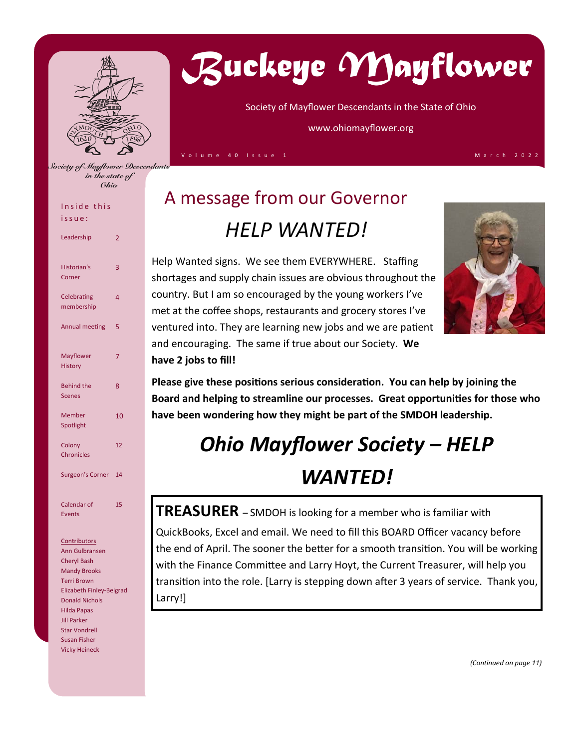

in the state of **Ohio** 

# *Buckeye Mayflower*

Society of Mayflower Descendants in the State of Ohio

www.ohiomayflower.org

Volume 40 Issue 1 March 2022

## Inside this

issue:

| Leadership                         | 2              |
|------------------------------------|----------------|
| Historian's<br>Corner              | 3              |
| Celebrating<br>membership          | $\overline{4}$ |
| Annual meeting                     | 5              |
| <b>Mayflower</b><br><b>History</b> | 7              |
| <b>Behind the</b><br><b>Scenes</b> | 8              |
| Member<br>Spotlight                | 10             |
| Colony<br><b>Chronicles</b>        | 12             |
| Surgeon's Corner                   | 14             |
| Calendar of<br><b>Events</b>       | 15             |

#### **Contributors**

Ann Gulbransen Cheryl Bash Mandy Brooks Terri Brown Elizabeth Finley‐Belgrad Donald Nichols Hilda Papas Jill Parker Star Vondrell Susan Fisher Vicky Heineck

## A message from our Governor *HELP WANTED!*

Help Wanted signs. We see them EVERYWHERE. Staffing shortages and supply chain issues are obvious throughout the country. But I am so encouraged by the young workers I've met at the coffee shops, restaurants and grocery stores I've ventured into. They are learning new jobs and we are patient and encouraging. The same if true about our Society. **We have 2 jobs to fill!** 



Please give these positions serious consideration. You can help by joining the **Board and helping to streamline our processes. Great opportuniƟes for those who have been wondering how they might be part of the SMDOH leadership.** 

## *Ohio Mayflower Society – HELP WANTED!*

**TREASURER** – SMDOH is looking for a member who is familiar with QuickBooks, Excel and email. We need to fill this BOARD Officer vacancy before the end of April. The sooner the better for a smooth transition. You will be working with the Finance Committee and Larry Hoyt, the Current Treasurer, will help you transition into the role. [Larry is stepping down after 3 years of service. Thank you, Larry!]

*(ConƟnued on page 11)*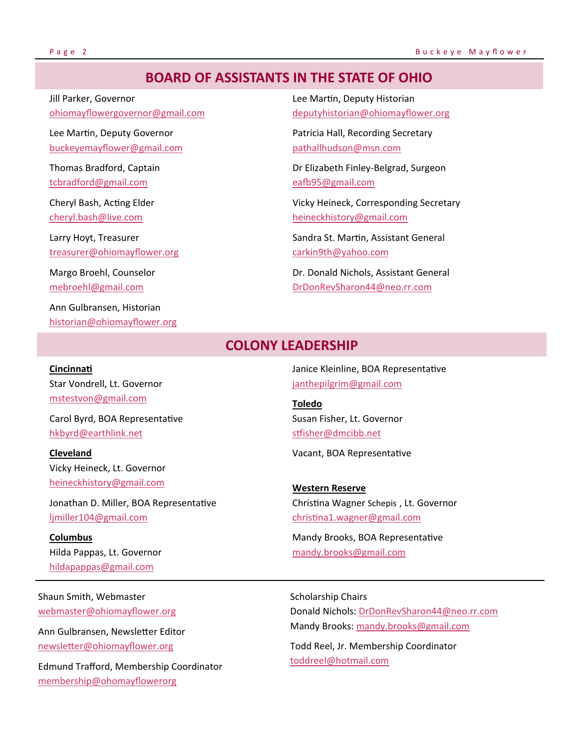## **BOARD OF ASSISTANTS IN THE STATE OF OHIO**

Jill Parker, Governor ohiomayflowergovernor@gmail.com

Lee Martin, Deputy Governor buckeyemayflower@gmail.com

Thomas Bradford, Captain tcbradford@gmail.com

Cheryl Bash, Acting Elder cheryl.bash@live.com

Larry Hoyt, Treasurer treasurer@ohiomayflower.org

Margo Broehl, Counselor mebroehl@gmail.com

**CincinnaƟ** 

**Cleveland** 

**Columbus** 

Ann Gulbransen, Historian historian@ohiomayflower.org

Star Vondrell, Lt. Governor mstestvon@gmail.com

hkbyrd@earthlink.net

ljmiller104@gmail.com

Vicky Heineck, Lt. Governor heineckhistory@gmail.com

Jonathan D. Miller, BOA Representative

Carol Byrd, BOA Representative

Lee Martin, Deputy Historian deputyhistorian@ohiomayflower.org

Patricia Hall, Recording Secretary pathallhudson@msn.com

Dr Elizabeth Finley‐Belgrad, Surgeon eafb95@gmail.com

Vicky Heineck, Corresponding Secretary heineckhistory@gmail.com

Sandra St. Martin, Assistant General carkin9th@yahoo.com

Dr. Donald Nichols, Assistant General DrDonRevSharon44@neo.rr.com

#### **COLONY LEADERSHIP**

Janice Kleinline, BOA Representative janthepilgrim@gmail.com

**Toledo** Susan Fisher, Lt. Governor stfisher@dmcibb.net

Vacant, BOA Representative

**Western Reserve** ChrisƟna Wagner Schepis , Lt. Governor christina1.wagner@gmail.com

Mandy Brooks, BOA Representative mandy.brooks@gmail.com

Shaun Smith, Webmaster webmaster@ohiomayflower.org

Hilda Pappas, Lt. Governor hildapappas@gmail.com

Ann Gulbransen, Newsletter Editor newsletter@ohiomayflower.org

Edmund Trafford, Membership Coordinator membership@ohomayflowerorg

Scholarship Chairs Donald Nichols: DrDonRevSharon44@neo.rr.com Mandy Brooks: mandy.brooks@gmail.com

Todd Reel, Jr. Membership Coordinator toddreel@hotmail.com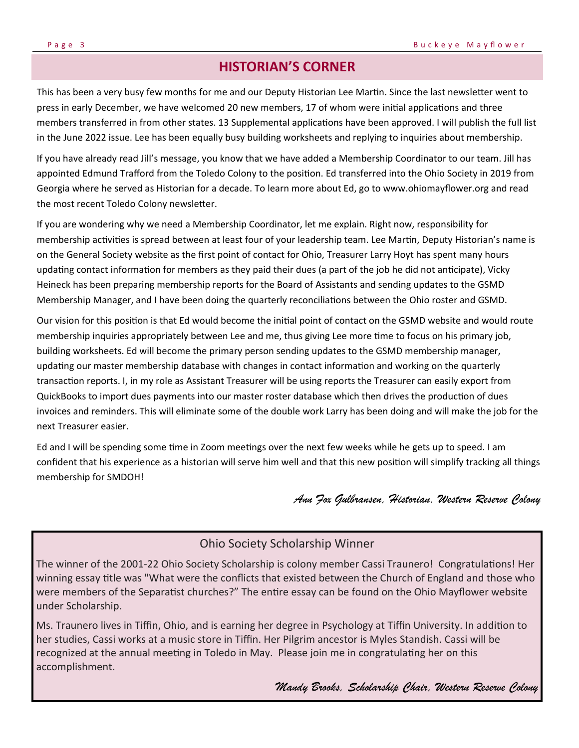## **HISTORIAN'S CORNER**

This has been a very busy few months for me and our Deputy Historian Lee Martin. Since the last newsletter went to press in early December, we have welcomed 20 new members, 17 of whom were initial applications and three members transferred in from other states. 13 Supplemental applications have been approved. I will publish the full list in the June 2022 issue. Lee has been equally busy building worksheets and replying to inquiries about membership.

If you have already read Jill's message, you know that we have added a Membership Coordinator to our team. Jill has appointed Edmund Trafford from the Toledo Colony to the position. Ed transferred into the Ohio Society in 2019 from Georgia where he served as Historian for a decade. To learn more about Ed, go to www.ohiomayflower.org and read the most recent Toledo Colony newsletter.

If you are wondering why we need a Membership Coordinator, let me explain. Right now, responsibility for membership activities is spread between at least four of your leadership team. Lee Martin, Deputy Historian's name is on the General Society website as the first point of contact for Ohio, Treasurer Larry Hoyt has spent many hours updating contact information for members as they paid their dues (a part of the job he did not anticipate), Vicky Heineck has been preparing membership reports for the Board of Assistants and sending updates to the GSMD Membership Manager, and I have been doing the quarterly reconciliations between the Ohio roster and GSMD.

Our vision for this position is that Ed would become the initial point of contact on the GSMD website and would route membership inquiries appropriately between Lee and me, thus giving Lee more time to focus on his primary job, building worksheets. Ed will become the primary person sending updates to the GSMD membership manager, updating our master membership database with changes in contact information and working on the quarterly transaction reports. I, in my role as Assistant Treasurer will be using reports the Treasurer can easily export from QuickBooks to import dues payments into our master roster database which then drives the production of dues invoices and reminders. This will eliminate some of the double work Larry has been doing and will make the job for the next Treasurer easier.

Ed and I will be spending some time in Zoom meetings over the next few weeks while he gets up to speed. I am confident that his experience as a historian will serve him well and that this new position will simplify tracking all things membership for SMDOH!

#### *Ann Fox Gulbransen, Historian, Western Reserve Colony*

### Ohio Society Scholarship Winner

The winner of the 2001-22 Ohio Society Scholarship is colony member Cassi Traunero! Congratulations! Her winning essay title was "What were the conflicts that existed between the Church of England and those who were members of the Separatist churches?" The entire essay can be found on the Ohio Mayflower website under Scholarship.

Ms. Traunero lives in Tiffin, Ohio, and is earning her degree in Psychology at Tiffin University. In addition to her studies, Cassi works at a music store in Tiffin. Her Pilgrim ancestor is Myles Standish. Cassi will be recognized at the annual meeting in Toledo in May. Please join me in congratulating her on this accomplishment.

*Mandy Brooks, Scholarship Chair, Western Reserve Colony*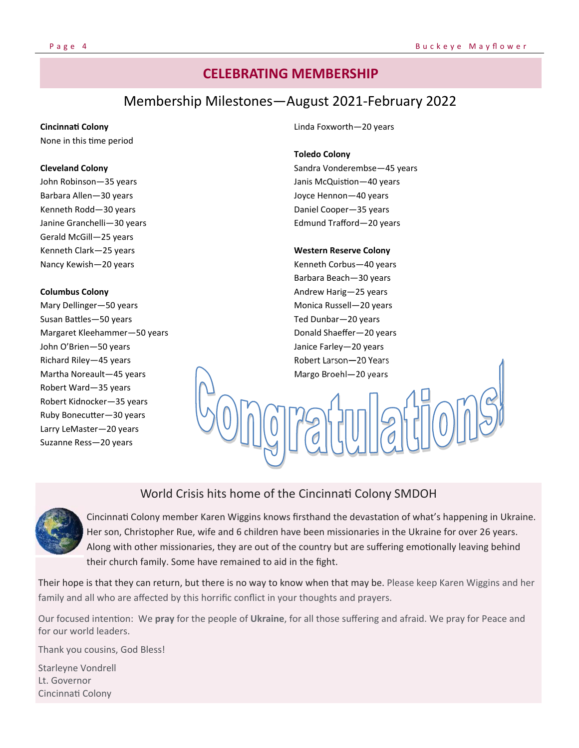## **CELEBRATING MEMBERSHIP**

## Membership Milestones—August 2021‐February 2022

#### **CincinnaƟ Colony**

None in this time period

#### **Cleveland Colony**

John Robinson—35 years Barbara Allen—30 years Kenneth Rodd—30 years Janine Granchelli—30 years Gerald McGill—25 years Kenneth Clark—25 years Nancy Kewish—20 years

#### **Columbus Colony**

Mary Dellinger—50 years Susan Battles-50 years Margaret Kleehammer—50 years John O'Brien—50 years Richard Riley—45 years Martha Noreault—45 years Robert Ward—35 years Robert Kidnocker—35 years Ruby Bonecutter-30 years Larry LeMaster—20 years Suzanne Ress—20 years

#### Linda Foxworth—20 years

#### **Toledo Colony**

Sandra Vonderembse—45 years Janis McQuistion-40 years Joyce Hennon—40 years Daniel Cooper—35 years Edmund Trafford—20 years

#### **Western Reserve Colony**

Kenneth Corbus—40 years Barbara Beach—30 years Andrew Harig—25 years Monica Russell—20 years Ted Dunbar—20 years Donald Shaeffer—20 years Janice Farley—20 years Robert Larson—20 Years Margo Broehl—20 years

## World Crisis hits home of the Cincinnati Colony SMDOH



Cincinnati Colony member Karen Wiggins knows firsthand the devastation of what's happening in Ukraine. Her son, Christopher Rue, wife and 6 children have been missionaries in the Ukraine for over 26 years. Along with other missionaries, they are out of the country but are suffering emotionally leaving behind their church family. Some have remained to aid in the fight.

Their hope is that they can return, but there is no way to know when that may be. Please keep Karen Wiggins and her family and all who are affected by this horrific conflict in your thoughts and prayers.

Our focused intention: We pray for the people of Ukraine, for all those suffering and afraid. We pray for Peace and for our world leaders.

Thank you cousins, God Bless!

Starleyne Vondrell Lt. Governor CincinnaƟ Colony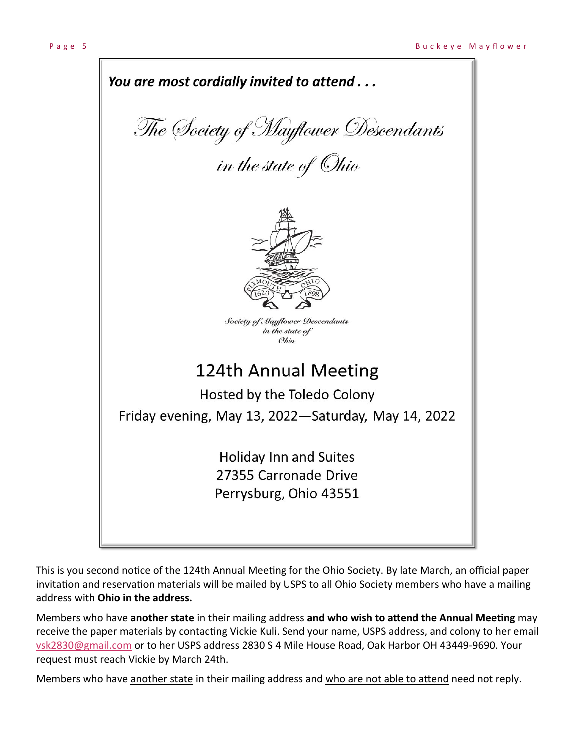

This is you second notice of the 124th Annual Meeting for the Ohio Society. By late March, an official paper invitation and reservation materials will be mailed by USPS to all Ohio Society members who have a mailing address with **Ohio in the address.**

Members who have another state in their mailing address and who wish to attend the Annual Meeting may receive the paper materials by contacting Vickie Kuli. Send your name, USPS address, and colony to her email vsk2830@gmail.com or to her USPS address 2830 S 4 Mile House Road, Oak Harbor OH 43449‐9690. Your request must reach Vickie by March 24th.

Members who have another state in their mailing address and who are not able to attend need not reply.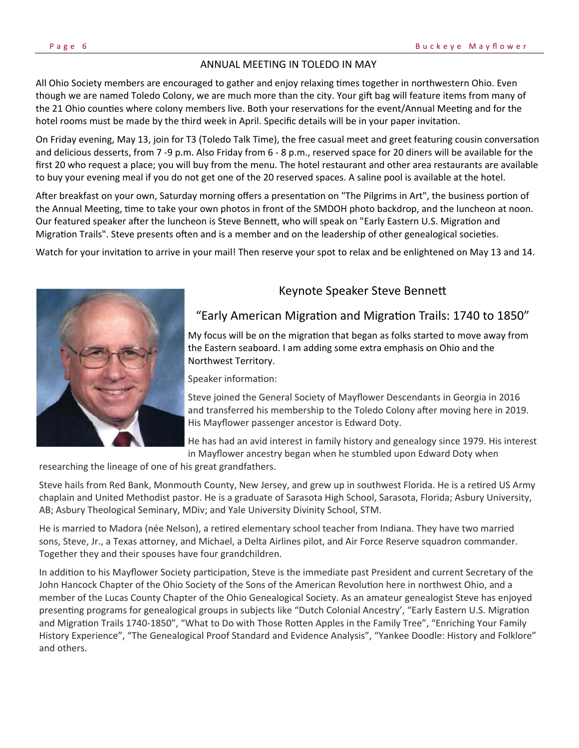#### ANNUAL MEETING IN TOLEDO IN MAY

All Ohio Society members are encouraged to gather and enjoy relaxing times together in northwestern Ohio. Even though we are named Toledo Colony, we are much more than the city. Your gift bag will feature items from many of the 21 Ohio counties where colony members live. Both your reservations for the event/Annual Meeting and for the hotel rooms must be made by the third week in April. Specific details will be in your paper invitation.

On Friday evening, May 13, join for T3 (Toledo Talk Time), the free casual meet and greet featuring cousin conversation and delicious desserts, from 7 ‐9 p.m. Also Friday from 6 ‐ 8 p.m., reserved space for 20 diners will be available for the first 20 who request a place; you will buy from the menu. The hotel restaurant and other area restaurants are available to buy your evening meal if you do not get one of the 20 reserved spaces. A saline pool is available at the hotel.

After breakfast on your own, Saturday morning offers a presentation on "The Pilgrims in Art", the business portion of the Annual Meeting, time to take your own photos in front of the SMDOH photo backdrop, and the luncheon at noon. Our featured speaker after the luncheon is Steve Bennett, who will speak on "Early Eastern U.S. Migration and Migration Trails". Steve presents often and is a member and on the leadership of other genealogical societies.

Watch for your invitation to arrive in your mail! Then reserve your spot to relax and be enlightened on May 13 and 14.



#### Keynote Speaker Steve Bennett

#### "Early American Migration and Migration Trails: 1740 to 1850"

My focus will be on the migration that began as folks started to move away from the Eastern seaboard. I am adding some extra emphasis on Ohio and the Northwest Territory.

Speaker information:

Steve joined the General Society of Mayflower Descendants in Georgia in 2016 and transferred his membership to the Toledo Colony after moving here in 2019. His Mayflower passenger ancestor is Edward Doty.

He has had an avid interest in family history and genealogy since 1979. His interest in Mayflower ancestry began when he stumbled upon Edward Doty when

researching the lineage of one of his great grandfathers.

Steve hails from Red Bank, Monmouth County, New Jersey, and grew up in southwest Florida. He is a retired US Army chaplain and United Methodist pastor. He is a graduate of Sarasota High School, Sarasota, Florida; Asbury University, AB; Asbury Theological Seminary, MDiv; and Yale University Divinity School, STM.

He is married to Madora (née Nelson), a retired elementary school teacher from Indiana. They have two married sons, Steve, Jr., a Texas attorney, and Michael, a Delta Airlines pilot, and Air Force Reserve squadron commander. Together they and their spouses have four grandchildren.

In addition to his Mayflower Society participation, Steve is the immediate past President and current Secretary of the John Hancock Chapter of the Ohio Society of the Sons of the American Revolution here in northwest Ohio, and a member of the Lucas County Chapter of the Ohio Genealogical Society. As an amateur genealogist Steve has enjoyed presenting programs for genealogical groups in subjects like "Dutch Colonial Ancestry', "Early Eastern U.S. Migration and Migration Trails 1740-1850", "What to Do with Those Rotten Apples in the Family Tree", "Enriching Your Family History Experience", "The Genealogical Proof Standard and Evidence Analysis", "Yankee Doodle: History and Folklore" and others.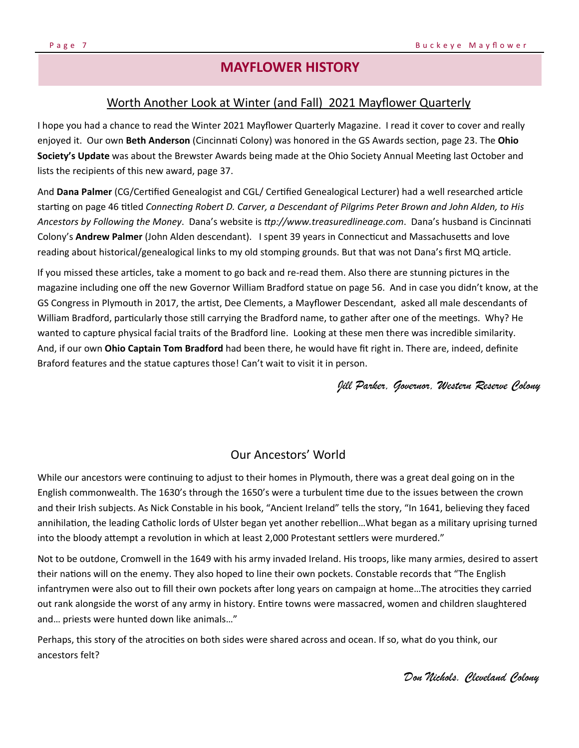## **MAYFLOWER HISTORY**

#### Worth Another Look at Winter (and Fall) 2021 Mayflower Quarterly

I hope you had a chance to read the Winter 2021 Mayflower Quarterly Magazine. I read it cover to cover and really enjoyed it. Our own Beth Anderson (Cincinnati Colony) was honored in the GS Awards section, page 23. The Ohio Society's Update was about the Brewster Awards being made at the Ohio Society Annual Meeting last October and lists the recipients of this new award, page 37.

And Dana Palmer (CG/Certified Genealogist and CGL/ Certified Genealogical Lecturer) had a well researched article starting on page 46 titled *Connecting Robert D. Carver, a Descendant of Pilgrims Peter Brown and John Alden, to His Ancestors by Following the Money*. Dana's website is *Ʃp://www.treasuredlineage.com*. Dana's husband is CincinnaƟ Colony's **Andrew Palmer** (John Alden descendant). I spent 39 years in Connecticut and Massachusetts and love reading about historical/genealogical links to my old stomping grounds. But that was not Dana's first MQ article.

If you missed these articles, take a moment to go back and re-read them. Also there are stunning pictures in the magazine including one off the new Governor William Bradford statue on page 56. And in case you didn't know, at the GS Congress in Plymouth in 2017, the artist, Dee Clements, a Mayflower Descendant, asked all male descendants of William Bradford, particularly those still carrying the Bradford name, to gather after one of the meetings. Why? He wanted to capture physical facial traits of the Bradford line. Looking at these men there was incredible similarity. And, if our own **Ohio Captain Tom Bradford** had been there, he would have fit right in. There are, indeed, definite Braford features and the statue captures those! Can't wait to visit it in person.

*Jill Parker, Governor, Western Reserve Colony* 

#### Our Ancestors' World

While our ancestors were continuing to adjust to their homes in Plymouth, there was a great deal going on in the English commonwealth. The 1630's through the 1650's were a turbulent time due to the issues between the crown and their Irish subjects. As Nick Constable in his book, "Ancient Ireland" tells the story, "In 1641, believing they faced annihilation, the leading Catholic lords of Ulster began yet another rebellion...What began as a military uprising turned into the bloody attempt a revolution in which at least 2,000 Protestant settlers were murdered."

Not to be outdone, Cromwell in the 1649 with his army invaded Ireland. His troops, like many armies, desired to assert their nations will on the enemy. They also hoped to line their own pockets. Constable records that "The English infantrymen were also out to fill their own pockets after long years on campaign at home...The atrocities they carried out rank alongside the worst of any army in history. Entire towns were massacred, women and children slaughtered and… priests were hunted down like animals…"

Perhaps, this story of the atrocities on both sides were shared across and ocean. If so, what do you think, our ancestors felt?

*Don Nichols. Cleveland Colony*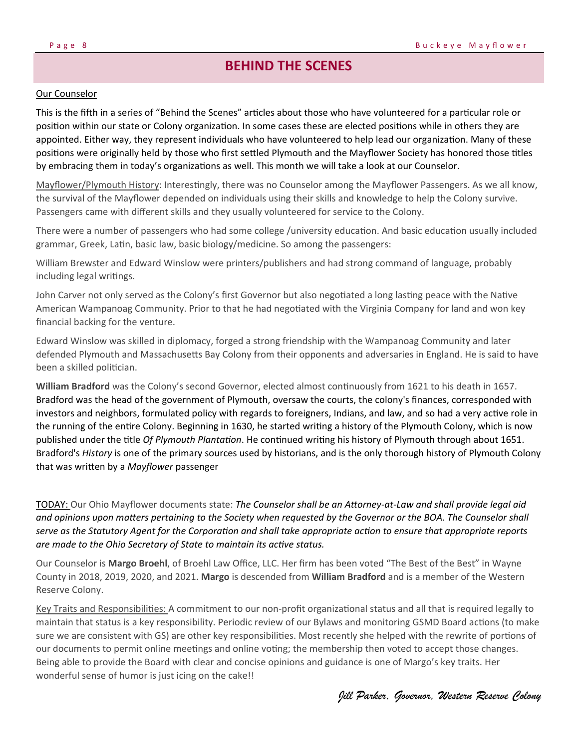## **BEHIND THE SCENES**

#### Our Counselor

This is the fifth in a series of "Behind the Scenes" articles about those who have volunteered for a particular role or position within our state or Colony organization. In some cases these are elected positions while in others they are appointed. Either way, they represent individuals who have volunteered to help lead our organization. Many of these positions were originally held by those who first settled Plymouth and the Mayflower Society has honored those titles by embracing them in today's organizations as well. This month we will take a look at our Counselor.

Mayflower/Plymouth History: Interestingly, there was no Counselor among the Mayflower Passengers. As we all know, the survival of the Mayflower depended on individuals using their skills and knowledge to help the Colony survive. Passengers came with different skills and they usually volunteered for service to the Colony.

There were a number of passengers who had some college /university education. And basic education usually included grammar, Greek, Latin, basic law, basic biology/medicine. So among the passengers:

William Brewster and Edward Winslow were printers/publishers and had strong command of language, probably including legal writings.

John Carver not only served as the Colony's first Governor but also negotiated a long lasting peace with the Native American Wampanoag Community. Prior to that he had negotiated with the Virginia Company for land and won key financial backing for the venture.

Edward Winslow was skilled in diplomacy, forged a strong friendship with the Wampanoag Community and later defended Plymouth and Massachusetts Bay Colony from their opponents and adversaries in England. He is said to have been a skilled politician.

**William Bradford** was the Colony's second Governor, elected almost continuously from 1621 to his death in 1657. Bradford was the head of the government of Plymouth, oversaw the courts, the colony's finances, corresponded with investors and neighbors, formulated policy with regards to foreigners, Indians, and law, and so had a very active role in the running of the entire Colony. Beginning in 1630, he started writing a history of the Plymouth Colony, which is now published under the title *Of Plymouth Plantation*. He continued writing his history of Plymouth through about 1651. Bradford's *History* is one of the primary sources used by historians, and is the only thorough history of Plymouth Colony that was written by a *Mayflower* passenger

TODAY: Our Ohio Mayflower documents state: *The Counselor shall be an AƩorney‐at‐Law and shall provide legal aid and opinions upon maƩers pertaining to the Society when requested by the Governor or the BOA. The Counselor shall serve as the Statutory Agent for the Corporation and shall take appropriate action to ensure that appropriate reports are made to the Ohio Secretary of State to maintain its active status.* 

Our Counselor is **Margo Broehl**, of Broehl Law Office, LLC. Her firm has been voted "The Best of the Best" in Wayne County in 2018, 2019, 2020, and 2021. **Margo** is descended from **William Bradford** and is a member of the Western Reserve Colony.

Key Traits and Responsibilities: A commitment to our non-profit organizational status and all that is required legally to maintain that status is a key responsibility. Periodic review of our Bylaws and monitoring GSMD Board actions (to make sure we are consistent with GS) are other key responsibilities. Most recently she helped with the rewrite of portions of our documents to permit online meetings and online voting; the membership then voted to accept those changes. Being able to provide the Board with clear and concise opinions and guidance is one of Margo's key traits. Her wonderful sense of humor is just icing on the cake!!

*Jill Parker, Governor, Western Reserve Colony*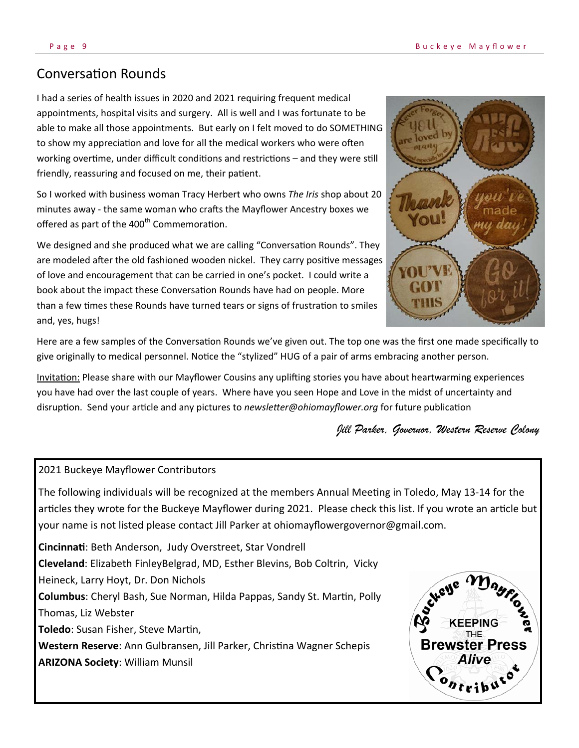## ConversaƟon Rounds

I had a series of health issues in 2020 and 2021 requiring frequent medical appointments, hospital visits and surgery. All is well and I was fortunate to be able to make all those appointments. But early on I felt moved to do SOMETHING to show my appreciation and love for all the medical workers who were often working overtime, under difficult conditions and restrictions – and they were still friendly, reassuring and focused on me, their patient.

So I worked with business woman Tracy Herbert who owns *The Iris* shop about 20 minutes away - the same woman who crafts the Mayflower Ancestry boxes we offered as part of the 400<sup>th</sup> Commemoration.

We designed and she produced what we are calling "Conversation Rounds". They are modeled after the old fashioned wooden nickel. They carry positive messages of love and encouragement that can be carried in one's pocket. I could write a book about the impact these Conversation Rounds have had on people. More than a few times these Rounds have turned tears or signs of frustration to smiles and, yes, hugs!



Here are a few samples of the Conversation Rounds we've given out. The top one was the first one made specifically to give originally to medical personnel. Notice the "stylized" HUG of a pair of arms embracing another person.

Invitation: Please share with our Mayflower Cousins any uplifting stories you have about heartwarming experiences you have had over the last couple of years. Where have you seen Hope and Love in the midst of uncertainty and disruption. Send your article and any pictures to *newsletter@ohiomayflower.org* for future publication

*Jill Parker, Governor, Western Reserve Colony* 

#### 2021 Buckeye Mayflower Contributors

The following individuals will be recognized at the members Annual Meeting in Toledo, May 13-14 for the articles they wrote for the Buckeye Mayflower during 2021. Please check this list. If you wrote an article but your name is not listed please contact Jill Parker at ohiomayflowergovernor@gmail.com.

**CincinnaƟ**: Beth Anderson, Judy Overstreet, Star Vondrell **Cleveland**: Elizabeth FinleyBelgrad, MD, Esther Blevins, Bob Coltrin, Vicky Heineck, Larry Hoyt, Dr. Don Nichols **Columbus:** Cheryl Bash, Sue Norman, Hilda Pappas, Sandy St. Martin, Polly Thomas, Liz Webster Toledo: Susan Fisher, Steve Martin, **Western Reserve:** Ann Gulbransen, Jill Parker, Christina Wagner Schepis **ARIZONA Society**: William Munsil

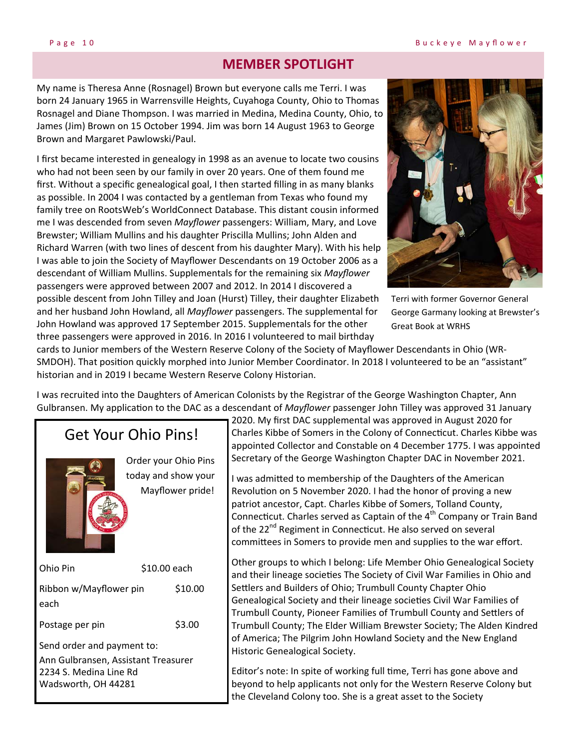## **MEMBER SPOTLIGHT**

My name is Theresa Anne (Rosnagel) Brown but everyone calls me Terri. I was born 24 January 1965 in Warrensville Heights, Cuyahoga County, Ohio to Thomas Rosnagel and Diane Thompson. I was married in Medina, Medina County, Ohio, to James (Jim) Brown on 15 October 1994. Jim was born 14 August 1963 to George Brown and Margaret Pawlowski/Paul.

I first became interested in genealogy in 1998 as an avenue to locate two cousins who had not been seen by our family in over 20 years. One of them found me first. Without a specific genealogical goal, I then started filling in as many blanks as possible. In 2004 I was contacted by a gentleman from Texas who found my family tree on RootsWeb's WorldConnect Database. This distant cousin informed me I was descended from seven *Mayflower* passengers: William, Mary, and Love Brewster; William Mullins and his daughter Priscilla Mullins; John Alden and Richard Warren (with two lines of descent from his daughter Mary). With his help I was able to join the Society of Mayflower Descendants on 19 October 2006 as a descendant of William Mullins. Supplementals for the remaining six *Mayflower* passengers were approved between 2007 and 2012. In 2014 I discovered a possible descent from John Tilley and Joan (Hurst) Tilley, their daughter Elizabeth and her husband John Howland, all *Mayflower* passengers. The supplemental for John Howland was approved 17 September 2015. Supplementals for the other three passengers were approved in 2016. In 2016 I volunteered to mail birthday



Terri with former Governor General George Garmany looking at Brewster's Great Book at WRHS

cards to Junior members of the Western Reserve Colony of the Society of Mayflower Descendants in Ohio (WR‐ SMDOH). That position quickly morphed into Junior Member Coordinator. In 2018 I volunteered to be an "assistant" historian and in 2019 I became Western Reserve Colony Historian.

I was recruited into the Daughters of American Colonists by the Registrar of the George Washington Chapter, Ann Gulbransen. My application to the DAC as a descendant of *Mayflower* passenger John Tilley was approved 31 January

## Get Your Ohio Pins!



Order your Ohio Pins today and show your Mayflower pride!

Ohio Pin \$10.00 each Ribbon w/Mayflower pin \$10.00 each Postage per pin \$3.00 Send order and payment to: Ann Gulbransen, Assistant Treasurer 2234 S. Medina Line Rd Wadsworth, OH 44281

2020. My first DAC supplemental was approved in August 2020 for Charles Kibbe of Somers in the Colony of Connecticut. Charles Kibbe was appointed Collector and Constable on 4 December 1775. I was appointed Secretary of the George Washington Chapter DAC in November 2021.

I was admitted to membership of the Daughters of the American Revolution on 5 November 2020. I had the honor of proving a new patriot ancestor, Capt. Charles Kibbe of Somers, Tolland County, Connecticut. Charles served as Captain of the 4<sup>th</sup> Company or Train Band of the 22<sup>nd</sup> Regiment in Connecticut. He also served on several committees in Somers to provide men and supplies to the war effort.

Other groups to which I belong: Life Member Ohio Genealogical Society and their lineage societies The Society of Civil War Families in Ohio and Settlers and Builders of Ohio; Trumbull County Chapter Ohio Genealogical Society and their lineage societies Civil War Families of Trumbull County, Pioneer Families of Trumbull County and Settlers of Trumbull County; The Elder William Brewster Society; The Alden Kindred of America; The Pilgrim John Howland Society and the New England Historic Genealogical Society.

Editor's note: In spite of working full time, Terri has gone above and beyond to help applicants not only for the Western Reserve Colony but the Cleveland Colony too. She is a great asset to the Society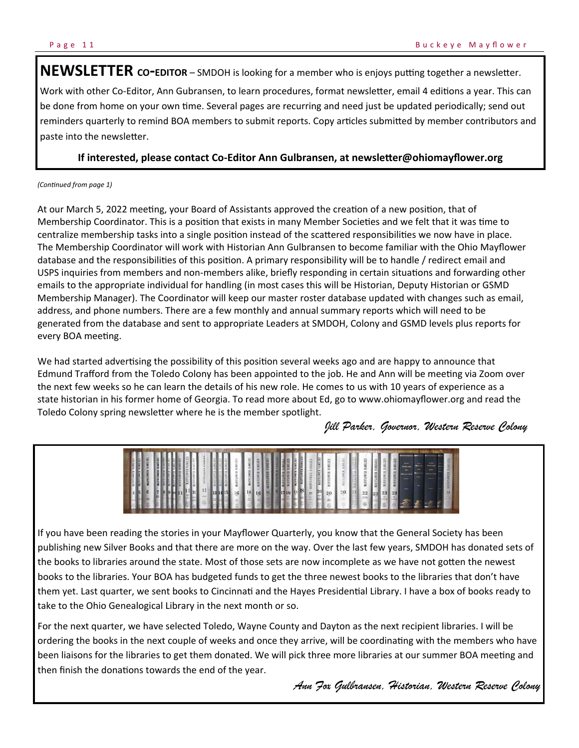NEWSLETTER co-EDITOR – SMDOH is looking for a member who is enjoys putting together a newsletter. Work with other Co-Editor, Ann Gubransen, to learn procedures, format newsletter, email 4 editions a year. This can be done from home on your own time. Several pages are recurring and need just be updated periodically; send out reminders quarterly to remind BOA members to submit reports. Copy articles submitted by member contributors and paste into the newsletter.

#### **If interested, please contact Co-Editor Ann Gulbransen, at newsletter@ohiomayflower.org**

#### *(ConƟnued from page 1)*

At our March 5, 2022 meeting, your Board of Assistants approved the creation of a new position, that of Membership Coordinator. This is a position that exists in many Member Societies and we felt that it was time to centralize membership tasks into a single position instead of the scattered responsibilities we now have in place. The Membership Coordinator will work with Historian Ann Gulbransen to become familiar with the Ohio Mayflower database and the responsibilities of this position. A primary responsibility will be to handle / redirect email and USPS inquiries from members and non-members alike, briefly responding in certain situations and forwarding other emails to the appropriate individual for handling (in most cases this will be Historian, Deputy Historian or GSMD Membership Manager). The Coordinator will keep our master roster database updated with changes such as email, address, and phone numbers. There are a few monthly and annual summary reports which will need to be generated from the database and sent to appropriate Leaders at SMDOH, Colony and GSMD levels plus reports for every BOA meeting.

We had started advertising the possibility of this position several weeks ago and are happy to announce that Edmund Trafford from the Toledo Colony has been appointed to the job. He and Ann will be meeting via Zoom over the next few weeks so he can learn the details of his new role. He comes to us with 10 years of experience as a state historian in his former home of Georgia. To read more about Ed, go to www.ohiomayflower.org and read the Toledo Colony spring newsletter where he is the member spotlight.

*Jill Parker, Governor, Western Reserve Colony* 



If you have been reading the stories in your Mayflower Quarterly, you know that the General Society has been publishing new Silver Books and that there are more on the way. Over the last few years, SMDOH has donated sets of the books to libraries around the state. Most of those sets are now incomplete as we have not gotten the newest books to the libraries. Your BOA has budgeted funds to get the three newest books to the libraries that don't have them yet. Last quarter, we sent books to Cincinnati and the Hayes Presidential Library. I have a box of books ready to take to the Ohio Genealogical Library in the next month or so.

For the next quarter, we have selected Toledo, Wayne County and Dayton as the next recipient libraries. I will be ordering the books in the next couple of weeks and once they arrive, will be coordinating with the members who have been liaisons for the libraries to get them donated. We will pick three more libraries at our summer BOA meeting and then finish the donations towards the end of the year.

*Ann Fox Gulbransen, Historian, Western Reserve Colony*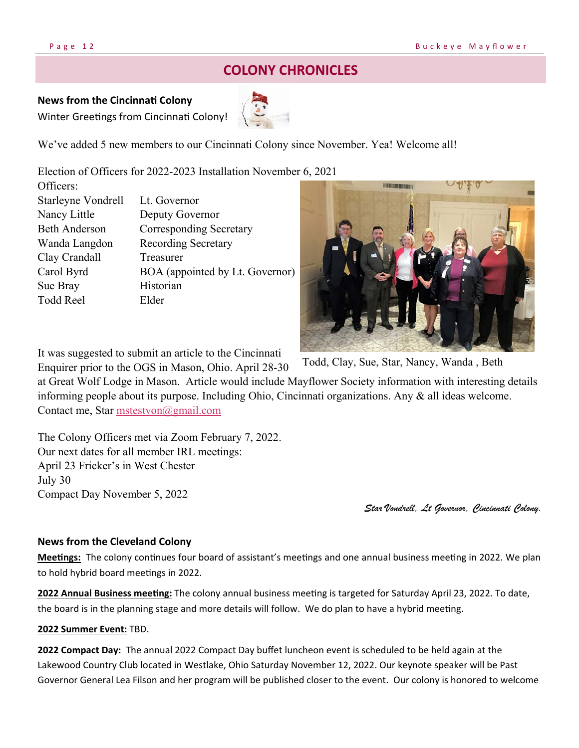## **COLONY CHRONICLES**

#### **News from the CincinnaƟ Colony**

Winter Greetings from Cincinnati Colony!



We've added 5 new members to our Cincinnati Colony since November. Yea! Welcome all!

Election of Officers for 2022-2023 Installation November 6, 2021

| OTHERS:                   |                                 |
|---------------------------|---------------------------------|
| <b>Starleyne Vondrell</b> | Lt. Governor                    |
| Nancy Little              | Deputy Governor                 |
| <b>Beth Anderson</b>      | <b>Corresponding Secretary</b>  |
| Wanda Langdon             | <b>Recording Secretary</b>      |
| Clay Crandall             | Treasurer                       |
| Carol Byrd                | BOA (appointed by Lt. Governor) |
| Sue Bray                  | Historian                       |
| <b>Todd Reel</b>          | Elder                           |
|                           |                                 |



It was suggested to submit an article to the Cincinnati

Enquirer prior to the OGS in Mason, Ohio. April 28-30 at Great Wolf Lodge in Mason. Article would include Mayflower Society information with interesting details informing people about its purpose. Including Ohio, Cincinnati organizations. Any & all ideas welcome. Contact me, Star mstestvon@gmail.com Todd, Clay, Sue, Star, Nancy, Wanda , Beth

The Colony Officers met via Zoom February 7, 2022. Our next dates for all member IRL meetings: April 23 Fricker's in West Chester July 30 Compact Day November 5, 2022

*Star Vondrell, Lt Governor, Cincinnati Colony*.

#### **News from the Cleveland Colony**

**Meetings:** The colony continues four board of assistant's meetings and one annual business meeting in 2022. We plan to hold hybrid board meetings in 2022.

**2022 Annual Business meeting:** The colony annual business meeting is targeted for Saturday April 23, 2022. To date, the board is in the planning stage and more details will follow. We do plan to have a hybrid meeting.

#### **2022 Summer Event:** TBD.

**2022 Compact Day:** The annual 2022 Compact Day buffet luncheon event is scheduled to be held again at the Lakewood Country Club located in Westlake, Ohio Saturday November 12, 2022. Our keynote speaker will be Past Governor General Lea Filson and her program will be published closer to the event. Our colony is honored to welcome

 $\alpha$  or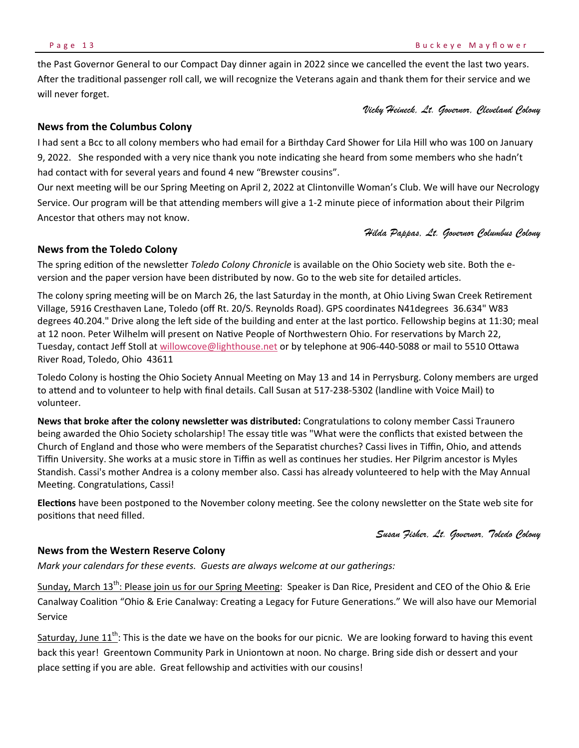the Past Governor General to our Compact Day dinner again in 2022 since we cancelled the event the last two years. After the traditional passenger roll call, we will recognize the Veterans again and thank them for their service and we will never forget.

*Vicky Heineck, Lt. Governor, Cleveland Colony* 

#### **News from the Columbus Colony**

I had sent a Bcc to all colony members who had email for a Birthday Card Shower for Lila Hill who was 100 on January 9, 2022. She responded with a very nice thank you note indicating she heard from some members who she hadn't had contact with for several years and found 4 new "Brewster cousins".

Our next meeting will be our Spring Meeting on April 2, 2022 at Clintonville Woman's Club. We will have our Necrology Service. Our program will be that attending members will give a 1-2 minute piece of information about their Pilgrim Ancestor that others may not know.

*Hilda Pappas, Lt. Governor Columbus Colony* 

#### **News from the Toledo Colony**

The spring edition of the newsletter *Toledo Colony Chronicle* is available on the Ohio Society web site. Both the eversion and the paper version have been distributed by now. Go to the web site for detailed articles.

The colony spring meeting will be on March 26, the last Saturday in the month, at Ohio Living Swan Creek Retirement Village, 5916 Cresthaven Lane, Toledo (off Rt. 20/S. Reynolds Road). GPS coordinates N41degrees 36.634" W83 degrees 40.204." Drive along the left side of the building and enter at the last portico. Fellowship begins at 11:30; meal at 12 noon. Peter Wilhelm will present on Native People of Northwestern Ohio. For reservations by March 22, Tuesday, contact Jeff Stoll at willowcove@lighthouse.net or by telephone at 906-440-5088 or mail to 5510 Ottawa River Road, Toledo, Ohio 43611

Toledo Colony is hosting the Ohio Society Annual Meeting on May 13 and 14 in Perrysburg. Colony members are urged to attend and to volunteer to help with final details. Call Susan at 517-238-5302 (landline with Voice Mail) to volunteer.

News that broke after the colony newsletter was distributed: Congratulations to colony member Cassi Traunero being awarded the Ohio Society scholarship! The essay title was "What were the conflicts that existed between the Church of England and those who were members of the Separatist churches? Cassi lives in Tiffin, Ohio, and attends Tiffin University. She works at a music store in Tiffin as well as continues her studies. Her Pilgrim ancestor is Myles Standish. Cassi's mother Andrea is a colony member also. Cassi has already volunteered to help with the May Annual Meeting. Congratulations, Cassi!

**Elections** have been postponed to the November colony meeting. See the colony newsletter on the State web site for positions that need filled.

*Susan Fisher, Lt. Governor, Toledo Colony* 

#### **News from the Western Reserve Colony**

*Mark your calendars for these events. Guests are always welcome at our gatherings:* 

Sunday, March 13<sup>th</sup>: Please join us for our Spring Meeting: Speaker is Dan Rice, President and CEO of the Ohio & Erie Canalway Coalition "Ohio & Erie Canalway: Creating a Legacy for Future Generations." We will also have our Memorial Service

Saturday, June  $11^{th}$ : This is the date we have on the books for our picnic. We are looking forward to having this event back this year! Greentown Community Park in Uniontown at noon. No charge. Bring side dish or dessert and your place setting if you are able. Great fellowship and activities with our cousins!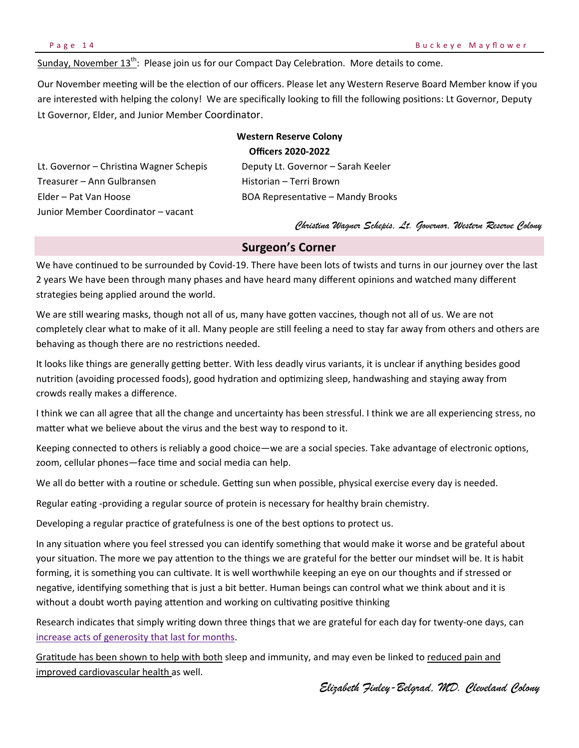Sunday, November  $13<sup>th</sup>$ : Please join us for our Compact Day Celebration. More details to come.

Our November meeting will be the election of our officers. Please let any Western Reserve Board Member know if you are interested with helping the colony! We are specifically looking to fill the following positions: Lt Governor, Deputy Lt Governor, Elder, and Junior Member Coordinator.

### **Western Reserve Colony Officers 2020‐2022**  Lt. Governor – Christina Wagner Schepis Deputy Lt. Governor – Sarah Keeler Treasurer – Ann Gulbransen Manneson Historian – Terri Brown Elder – Pat Van Hoose The BOA Representative – Mandy Brooks Junior Member Coordinator – vacant

*Christina Wagner Schepis, Lt. Governor, Western Reserve Colony* 

#### **Surgeon's Corner**

We have continued to be surrounded by Covid-19. There have been lots of twists and turns in our journey over the last 2 years We have been through many phases and have heard many different opinions and watched many different strategies being applied around the world.

We are still wearing masks, though not all of us, many have gotten vaccines, though not all of us. We are not completely clear what to make of it all. Many people are still feeling a need to stay far away from others and others are behaving as though there are no restrictions needed.

It looks like things are generally getting better. With less deadly virus variants, it is unclear if anything besides good nutrition (avoiding processed foods), good hydration and optimizing sleep, handwashing and staying away from crowds really makes a difference.

I think we can all agree that all the change and uncertainty has been stressful. I think we are all experiencing stress, no matter what we believe about the virus and the best way to respond to it.

Keeping connected to others is reliably a good choice—we are a social species. Take advantage of electronic options, zoom, cellular phones—face time and social media can help.

We all do better with a routine or schedule. Getting sun when possible, physical exercise every day is needed.

Regular eating -providing a regular source of protein is necessary for healthy brain chemistry.

Developing a regular practice of gratefulness is one of the best options to protect us.

In any situation where you feel stressed you can identify something that would make it worse and be grateful about your situation. The more we pay attention to the things we are grateful for the better our mindset will be. It is habit forming, it is something you can cultivate. It is well worthwhile keeping an eye on our thoughts and if stressed or negative, identifying something that is just a bit better. Human beings can control what we think about and it is without a doubt worth paying attention and working on cultivating positive thinking

Research indicates that simply writing down three things that we are grateful for each day for twenty-one days, can increase acts of generosity that last for months.

Gratitude has been shown to help with both sleep and immunity, and may even be linked to reduced pain and improved cardiovascular health as well.

*Elizabeth Finley-Belgrad, MD. Cleveland Colony*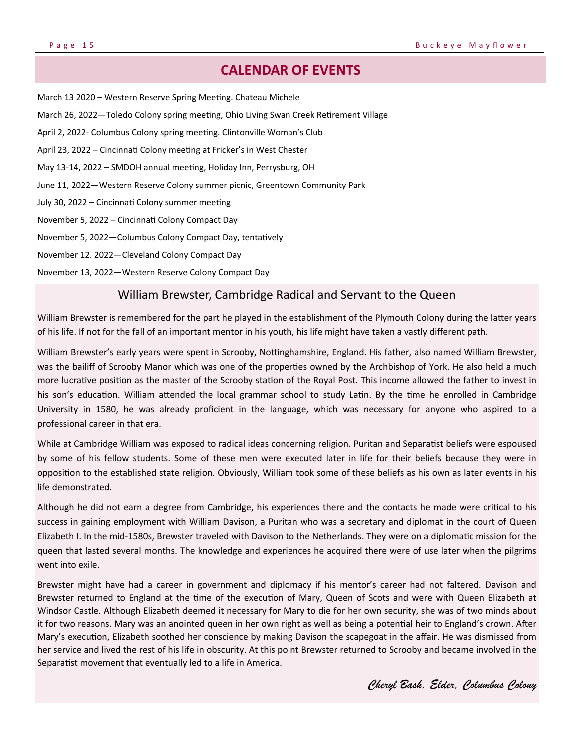### **CALENDAR OF EVENTS**

March 13 2020 - Western Reserve Spring Meeting. Chateau Michele March 26, 2022—Toledo Colony spring meeting, Ohio Living Swan Creek Retirement Village April 2, 2022- Columbus Colony spring meeting. Clintonville Woman's Club April 23, 2022 – Cincinnati Colony meeting at Fricker's in West Chester May 13-14, 2022 – SMDOH annual meeting, Holiday Inn, Perrysburg, OH June 11, 2022—Western Reserve Colony summer picnic, Greentown Community Park July 30, 2022 - Cincinnati Colony summer meeting November 5, 2022 – CincinnaƟ Colony Compact Day November 5, 2022—Columbus Colony Compact Day, tentatively November 12. 2022—Cleveland Colony Compact Day November 13, 2022—Western Reserve Colony Compact Day

#### William Brewster, Cambridge Radical and Servant to the Queen

William Brewster is remembered for the part he played in the establishment of the Plymouth Colony during the latter years of his life. If not for the fall of an important mentor in his youth, his life might have taken a vastly different path.

William Brewster's early years were spent in Scrooby, Nottinghamshire, England. His father, also named William Brewster, was the bailiff of Scrooby Manor which was one of the properties owned by the Archbishop of York. He also held a much more lucrative position as the master of the Scrooby station of the Royal Post. This income allowed the father to invest in his son's education. William attended the local grammar school to study Latin. By the time he enrolled in Cambridge University in 1580, he was already proficient in the language, which was necessary for anyone who aspired to a professional career in that era.

While at Cambridge William was exposed to radical ideas concerning religion. Puritan and Separatist beliefs were espoused by some of his fellow students. Some of these men were executed later in life for their beliefs because they were in opposition to the established state religion. Obviously, William took some of these beliefs as his own as later events in his life demonstrated.

Although he did not earn a degree from Cambridge, his experiences there and the contacts he made were critical to his success in gaining employment with William Davison, a Puritan who was a secretary and diplomat in the court of Queen Elizabeth I. In the mid-1580s, Brewster traveled with Davison to the Netherlands. They were on a diplomatic mission for the queen that lasted several months. The knowledge and experiences he acquired there were of use later when the pilgrims went into exile.

Brewster might have had a career in government and diplomacy if his mentor's career had not faltered. Davison and Brewster returned to England at the time of the execution of Mary, Queen of Scots and were with Queen Elizabeth at Windsor Castle. Although Elizabeth deemed it necessary for Mary to die for her own security, she was of two minds about it for two reasons. Mary was an anointed queen in her own right as well as being a potential heir to England's crown. After Mary's execution, Elizabeth soothed her conscience by making Davison the scapegoat in the affair. He was dismissed from her service and lived the rest of his life in obscurity. At this point Brewster returned to Scrooby and became involved in the Separatist movement that eventually led to a life in America.

*Cheryl Bash, Elder, Columbus Colony*